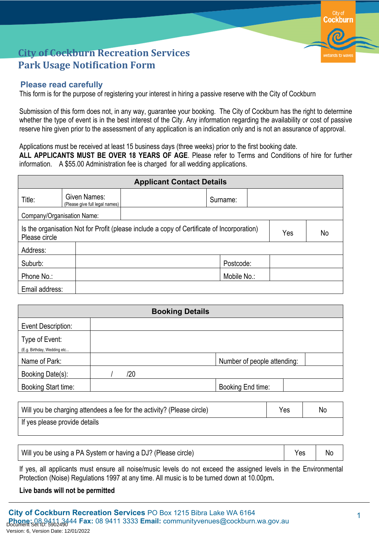## **Please read carefully**

This form is for the purpose of registering your interest in hiring a passive reserve with the City of Cockburn

Submission of this form does not, in any way, guarantee your booking. The City of Cockburn has the right to determine whether the type of event is in the best interest of the City. Any information regarding the availability or cost of passive reserve hire given prior to the assessment of any application is an indication only and is not an assurance of approval.

Applications must be received at least 15 business days (three weeks) prior to the first booking date.

**ALL APPLICANTS MUST BE OVER 18 YEARS OF AGE**. Please refer to Terms and Conditions of hire for further information. A \$55.00 Administration fee is charged for all wedding applications.

| <b>Applicant Contact Details</b>                                                                                         |                                                |  |             |  |  |  |
|--------------------------------------------------------------------------------------------------------------------------|------------------------------------------------|--|-------------|--|--|--|
| Title:                                                                                                                   | Given Names:<br>(Please give full legal names) |  | Surname:    |  |  |  |
| Company/Organisation Name:                                                                                               |                                                |  |             |  |  |  |
| Is the organisation Not for Profit (please include a copy of Certificate of Incorporation)<br>No<br>Yes<br>Please circle |                                                |  |             |  |  |  |
| Address:                                                                                                                 |                                                |  |             |  |  |  |
| Suburb:                                                                                                                  |                                                |  | Postcode:   |  |  |  |
| Phone No.:                                                                                                               |                                                |  | Mobile No.: |  |  |  |
| Email address:                                                                                                           |                                                |  |             |  |  |  |

| <b>Booking Details</b>      |  |     |  |                             |  |  |
|-----------------------------|--|-----|--|-----------------------------|--|--|
| Event Description:          |  |     |  |                             |  |  |
| Type of Event:              |  |     |  |                             |  |  |
| (E.g. Birthday, Wedding etc |  |     |  |                             |  |  |
| Name of Park:               |  |     |  | Number of people attending: |  |  |
| Booking Date(s):            |  | /20 |  |                             |  |  |
| <b>Booking Start time:</b>  |  |     |  | Booking End time:           |  |  |

| Will you be charging attendees a fee for the activity? (Please circle) | Yes | No |
|------------------------------------------------------------------------|-----|----|
| If yes please provide details                                          |     |    |

| Will you be using a PA System or having a DJ? (Please circle) | Yes   No |  |
|---------------------------------------------------------------|----------|--|
|---------------------------------------------------------------|----------|--|

If yes, all applicants must ensure all noise/music levels do not exceed the assigned levels in the Environmental Protection (Noise) Regulations 1997 at any time. All music is to be turned down at 10.00pm**.** 

### **Live bands will not be permitted**

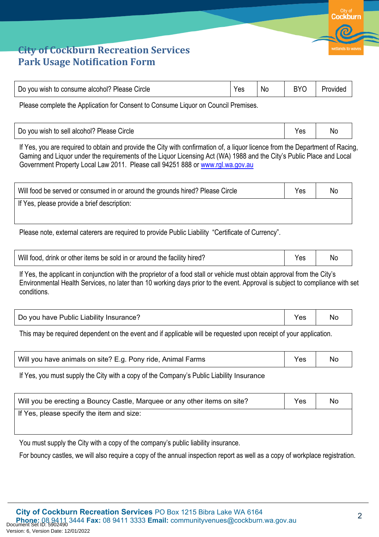| Do you wish to consume alcohol? Please Circle | Yes | N. | <b>RVO</b> | Provided |  |
|-----------------------------------------------|-----|----|------------|----------|--|
|-----------------------------------------------|-----|----|------------|----------|--|

Please complete the Application for Consent to Consume Liquor on Council Premises.

| Please<br>-<br>vou wish to sell alcohol?<br>Circle<br>D0 | ະ ເລ | <b>N</b> c |  |
|----------------------------------------------------------|------|------------|--|
|----------------------------------------------------------|------|------------|--|

If Yes, you are required to obtain and provide the City with confirmation of, a liquor licence from the Department of Racing, Gaming and Liquor under the requirements of the Liquor Licensing Act (WA) 1988 and the City's Public Place and Local Government Property Local Law 2011. Please call 94251 888 or [www.rgl.wa.gov.au](http://www.rgl.wa.gov.au/) 

| Will food be served or consumed in or around the grounds hired? Please Circle | Yes | No |
|-------------------------------------------------------------------------------|-----|----|
| If Yes, please provide a brief description:                                   |     |    |
|                                                                               |     |    |

Please note, external caterers are required to provide Public Liability "Certificate of Currency".

| Will food, drink or other items be sold in or around the facility hired? | No |
|--------------------------------------------------------------------------|----|
|                                                                          |    |

If Yes, the applicant in conjunction with the proprietor of a food stall or vehicle must obtain approval from the City's Environmental Health Services, no later than 10 working days prior to the event. Approval is subject to compliance with set conditions.

| Do you have Public Liability Insurance? | Nι |
|-----------------------------------------|----|
|                                         |    |

This may be required dependent on the event and if applicable will be requested upon receipt of your application.

| Will you have animals on site? E.g. Pony ride, Animal Farms | Yes | No |
|-------------------------------------------------------------|-----|----|
|                                                             |     |    |

If Yes, you must supply the City with a copy of the Company's Public Liability Insurance

| Will you be erecting a Bouncy Castle, Marquee or any other items on site? | Yes | No |
|---------------------------------------------------------------------------|-----|----|
| If Yes, please specify the item and size:                                 |     |    |
|                                                                           |     |    |

You must supply the City with a copy of the company's public liability insurance.

For bouncy castles, we will also require a copy of the annual inspection report as well as a copy of workplace registration.

Cockburn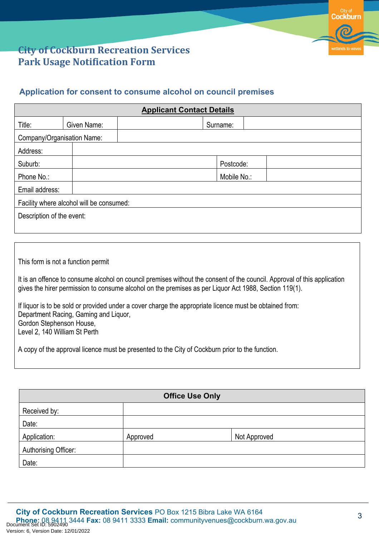

# **Application for consent to consume alcohol on council premises**

| <b>Applicant Contact Details</b>         |             |  |             |  |  |  |
|------------------------------------------|-------------|--|-------------|--|--|--|
| Title:                                   | Given Name: |  | Surname:    |  |  |  |
| Company/Organisation Name:               |             |  |             |  |  |  |
| Address:                                 |             |  |             |  |  |  |
| Suburb:                                  |             |  | Postcode:   |  |  |  |
| Phone No.:                               |             |  | Mobile No.: |  |  |  |
| Email address:                           |             |  |             |  |  |  |
| Facility where alcohol will be consumed: |             |  |             |  |  |  |
| Description of the event:                |             |  |             |  |  |  |
|                                          |             |  |             |  |  |  |

This form is not a function permit

It is an offence to consume alcohol on council premises without the consent of the council. Approval of this application gives the hirer permission to consume alcohol on the premises as per Liquor Act 1988, Section 119(1).

If liquor is to be sold or provided under a cover charge the appropriate licence must be obtained from: Department Racing, Gaming and Liquor, Gordon Stephenson House, Level 2, 140 William St Perth

A copy of the approval licence must be presented to the City of Cockburn prior to the function.

| <b>Office Use Only</b> |          |              |  |
|------------------------|----------|--------------|--|
| Received by:           |          |              |  |
| Date:                  |          |              |  |
| Application:           | Approved | Not Approved |  |
| Authorising Officer:   |          |              |  |
| Date:                  |          |              |  |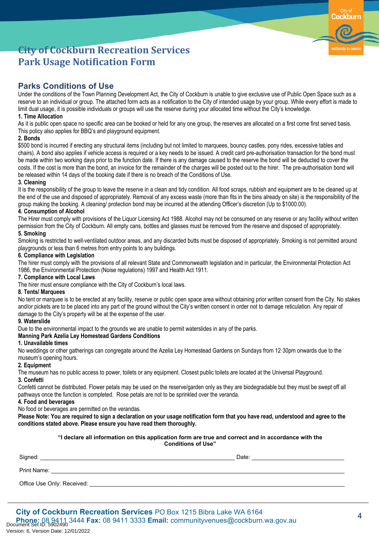Cockburn

# **City of Cockburn Recreation Services Park Usage Notification Form**

## **Parks Conditions of Use**

Under the conditions of the Town Planning Development Act, the City of Cockburn is unable to give exclusive use of Public Open Space such as a reserve to an individual or group. The attached form acts as a notification to the City of intended usage by your group. While every effort is made to limit dual usage, it is possible individuals or groups will use the reserve during your allocated time without the City's knowledge.

#### **1. Time Allocation**

As it is public open space no specific area can be booked or held for any one group, the reserves are allocated on a first come first served basis. This policy also applies for BBQ's and playground equipment.

#### **2. Bonds**

\$500 bond is incurred if erecting any structural items (including but not limited to marquees, bouncy castles, pony rides, excessive tables and chairs). A bond also applies if vehicle access is required or a key needs to be issued. A credit card pre-authorisation transaction for the bond must be made within two working days prior to the function date. If there is any damage caused to the reserve the bond will be deducted to cover the costs. If the cost is more than the bond, an invoice for the remainder of the charges will be posted out to the hirer. The pre-authorisation bond will be released within 14 days of the booking date if there is no breach of the Conditions of Use.

#### **3. Cleaning**

It is the responsibility of the group to leave the reserve in a clean and tidy condition. All food scraps, rubbish and equipment are to be cleaned up at the end of the use and disposed of appropriately. Removal of any excess waste (more than fits in the bins already on site) is the responsibility of the group making the booking. A cleaning/ protection bond may be incurred at the attending Officer's discretion (Up to \$1000.00).

#### **4. Consumption of Alcohol**

The Hirer must comply with provisions of the Liquor Licensing Act 1988. Alcohol may not be consumed on any reserve or any facility without written permission from the City of Cockburn. All empty cans, bottles and glasses must be removed from the reserve and disposed of appropriately.

### **5. Smoking**

Smoking is restricted to well-ventilated outdoor areas, and any discarded butts must be disposed of appropriately. Smoking is not permitted around playgrounds or less than 6 metres from entry points to any buildings.

#### **6. Compliance with Legislation**

The hirer must comply with the provisions of all relevant State and Commonwealth legislation and in particular, the Environmental Protection Act 1986, the Environmental Protection (Noise regulations) 1997 and Health Act 1911.

#### **7. Compliance with Local Laws**

The hirer must ensure compliance with the City of Cockburn's local laws.

#### **8. Tents/ Marquees**

No tent or marquee is to be erected at any facility, reserve or public open space area without obtaining prior written consent from the City. No stakes and/or pickets are to be placed into any part of the ground without the City's written consent in order not to damage reticulation. Any repair of damage to the City's property will be at the expense of the user.

#### **9. Waterslide**

Due to the environmental impact to the grounds we are unable to permit waterslides in any of the parks.

#### **Manning Park Azelia Ley Homestead Gardens Conditions**

#### **1. Unavailable times**

No weddings or other gatherings can congregate around the Azelia Ley Homestead Gardens on Sundays from 12·30pm onwards due to the museum's opening hours.

#### **2. Equipment**

The museum has no public access to power, toilets or any equipment. Closest public toilets are located at the Universal Playground. **3. Confetti**

Confetti cannot be distributed. Flower petals may be used on the reserve/garden only as they are biodegradable but they must be swept off all pathways once the function is completed. Rose petals are not to be sprinkled over the veranda.

#### **4. Food and beverages**

No food or beverages are permitted on the verandas.

**Please Note: You are required to sign a declaration on your usage notification form that you have read, understood and agree to the conditions stated above. Please ensure you have read them thoroughly.**

> **"I declare all information on this application form are true and correct and in accordance with the Conditions of Use"**

| Signed:                    | Date: |
|----------------------------|-------|
| Print Name:                |       |
| Office Use Only: Received: |       |

**City of Cockburn Recreation Services** PO Box 1215 Bibra Lake WA 6164

**Phone:** 08 9411 3444 **Fax:** 08 9411 3333 **Email:** communityvenues@cockburn.wa.gov.au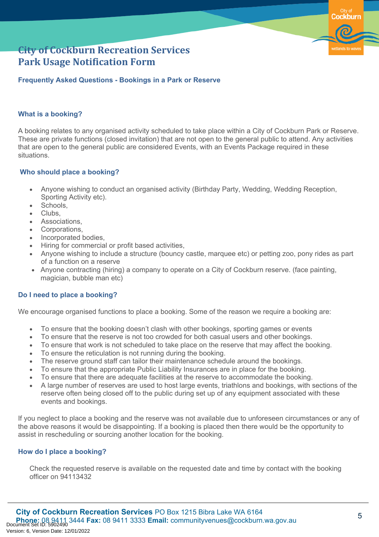**Frequently Asked Questions - Bookings in a Park or Reserve** 

### **What is a booking?**

A booking relates to any organised activity scheduled to take place within a City of Cockburn Park or Reserve. These are private functions (closed invitation) that are not open to the general public to attend. Any activities that are open to the general public are considered Events, with an Events Package required in these situations.

## **Who should place a booking?**

- Anyone wishing to conduct an organised activity (Birthday Party, Wedding, Wedding Reception, Sporting Activity etc).
- Schools.
- Clubs,
- Associations,
- Corporations,
- Incorporated bodies,
- Hiring for commercial or profit based activities,
- Anyone wishing to include a structure (bouncy castle, marquee etc) or petting zoo, pony rides as part of a function on a reserve
- Anyone contracting (hiring) a company to operate on a City of Cockburn reserve. (face painting, magician, bubble man etc)

### **Do I need to place a booking?**

We encourage organised functions to place a booking. Some of the reason we require a booking are:

- To ensure that the booking doesn't clash with other bookings, sporting games or events
- To ensure that the reserve is not too crowded for both casual users and other bookings.
- To ensure that work is not scheduled to take place on the reserve that may affect the booking.
- To ensure the reticulation is not running during the booking.
- The reserve ground staff can tailor their maintenance schedule around the bookings.
- To ensure that the appropriate Public Liability Insurances are in place for the booking.
- To ensure that there are adequate facilities at the reserve to accommodate the booking.
- A large number of reserves are used to host large events, triathlons and bookings, with sections of the reserve often being closed off to the public during set up of any equipment associated with these events and bookings.

If you neglect to place a booking and the reserve was not available due to unforeseen circumstances or any of the above reasons it would be disappointing. If a booking is placed then there would be the opportunity to assist in rescheduling or sourcing another location for the booking.

### **How do I place a booking?**

Check the requested reserve is available on the requested date and time by contact with the booking officer on 94113432

**Cockburn**